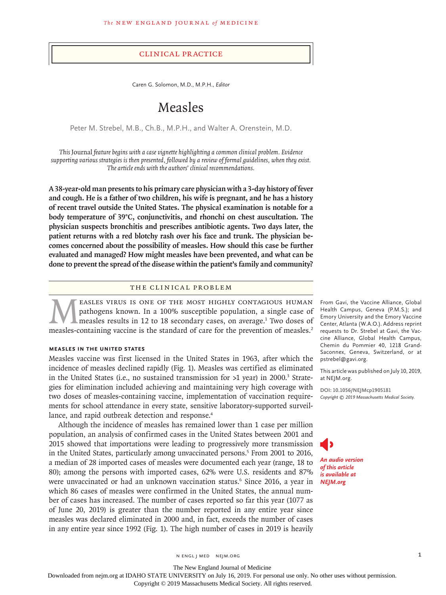#### Clinical Practice

Caren G. Solomon, M.D., M.P.H., *Editor*

# Measles

Peter M. Strebel, M.B., Ch.B., M.P.H., and Walter A. Orenstein, M.D.

*This* Journal *feature begins with a case vignette highlighting a common clinical problem. Evidence supporting various strategies is then presented, followed by a review of formal guidelines, when they exist. The article ends with the authors' clinical recommendations.*

**A 38-year-old man presents to his primary care physician with a 3-day history of fever and cough. He is a father of two children, his wife is pregnant, and he has a history of recent travel outside the United States. The physical examination is notable for a body temperature of 39°C, conjunctivitis, and rhonchi on chest auscultation. The physician suspects bronchitis and prescribes antibiotic agents. Two days later, the patient returns with a red blotchy rash over his face and trunk. The physician becomes concerned about the possibility of measles. How should this case be further evaluated and managed? How might measles have been prevented, and what can be done to prevent the spread of the disease within the patient's family and community?**

### The Clinical Problem

EASLES VIRUS IS ONE OF THE MOST HIGHLY CONTAGIOUS HUMAN pathogens known. In a 100% susceptible population, a single case of measles results in 12 to 18 secondary cases, on average.<sup>1</sup> Two doses of measles-containing vaccine is the standard of care for the prevention of measles.<sup>2</sup>

#### **Measles in the United States**

Measles vaccine was first licensed in the United States in 1963, after which the incidence of measles declined rapidly (Fig. 1). Measles was certified as eliminated in the United States (i.e., no sustained transmission for  $>1$  year) in 2000.<sup>3</sup> Strategies for elimination included achieving and maintaining very high coverage with two doses of measles-containing vaccine, implementation of vaccination requirements for school attendance in every state, sensitive laboratory-supported surveillance, and rapid outbreak detection and response.<sup>4</sup>

Although the incidence of measles has remained lower than 1 case per million population, an analysis of confirmed cases in the United States between 2001 and 2015 showed that importations were leading to progressively more transmission in the United States, particularly among unvaccinated persons.<sup>5</sup> From 2001 to 2016, a median of 28 imported cases of measles were documented each year (range, 18 to 80); among the persons with imported cases, 62% were U.S. residents and 87% were unvaccinated or had an unknown vaccination status.<sup>6</sup> Since 2016, a year in which 86 cases of measles were confirmed in the United States, the annual number of cases has increased. The number of cases reported so far this year (1077 as of June 20, 2019) is greater than the number reported in any entire year since measles was declared eliminated in 2000 and, in fact, exceeds the number of cases in any entire year since 1992 (Fig. 1). The high number of cases in 2019 is heavily

From Gavi, the Vaccine Alliance, Global Health Campus, Geneva (P.M.S.); and Emory University and the Emory Vaccine Center, Atlanta (W.A.O.). Address reprint requests to Dr. Strebel at Gavi, the Vaccine Alliance, Global Health Campus, Chemin du Pommier 40, 1218 Grand-Saconnex, Geneva, Switzerland, or at pstrebel@gavi.org.

This article was published on July 10, 2019, at NEJM.org.

**DOI: 10.1056/NEJMcp1905181** *Copyright © 2019 Massachusetts Medical Society.*

*An audio version of this article is available at NEJM.org*

The New England Journal of Medicine

Downloaded from nejm.org at IDAHO STATE UNIVERSITY on July 16, 2019. For personal use only. No other uses without permission.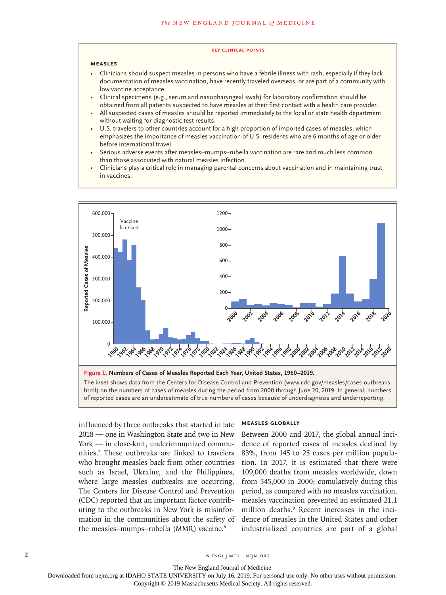#### **Key Clinical Points**

#### **Measles**

- Clinicians should suspect measles in persons who have a febrile illness with rash, especially if they lack documentation of measles vaccination, have recently traveled overseas, or are part of a community with low vaccine acceptance.
- Clinical specimens (e.g., serum and nasopharyngeal swab) for laboratory confirmation should be obtained from all patients suspected to have measles at their first contact with a health care provider.
- All suspected cases of measles should be reported immediately to the local or state health department without waiting for diagnostic test results.
- U.S. travelers to other countries account for a high proportion of imported cases of measles, which emphasizes the importance of measles vaccination of U.S. residents who are 6 months of age or older before international travel.
- Serious adverse events after measles–mumps–rubella vaccination are rare and much less common than those associated with natural measles infection.
- Clinicians play a critical role in managing parental concerns about vaccination and in maintaining trust in vaccines.



html) on the numbers of cases of measles during the period from 2000 through June 20, 2019. In general, numbers

influenced by three outbreaks that started in late 2018 — one in Washington State and two in New York — in close-knit, underimmunized communities.7 These outbreaks are linked to travelers who brought measles back from other countries such as Israel, Ukraine, and the Philippines, where large measles outbreaks are occurring. The Centers for Disease Control and Prevention (CDC) reported that an important factor contributing to the outbreaks in New York is misinformation in the communities about the safety of the measles-mumps-rubella (MMR) vaccine.<sup>8</sup>

# **Measles Globally**

Between 2000 and 2017, the global annual incidence of reported cases of measles declined by 83%, from 145 to 25 cases per million population. In 2017, it is estimated that there were 109,000 deaths from measles worldwide, down from 545,000 in 2000; cumulatively during this period, as compared with no measles vaccination, measles vaccination prevented an estimated 21.1 million deaths.9 Recent increases in the incidence of measles in the United States and other industrialized countries are part of a global

The New England Journal of Medicine

Downloaded from nejm.org at IDAHO STATE UNIVERSITY on July 16, 2019. For personal use only. No other uses without permission.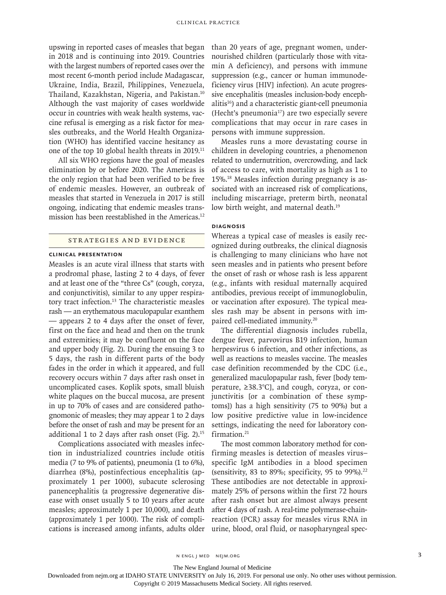upswing in reported cases of measles that began in 2018 and is continuing into 2019. Countries with the largest numbers of reported cases over the most recent 6-month period include Madagascar, Ukraine, India, Brazil, Philippines, Venezuela, Thailand, Kazakhstan, Nigeria, and Pakistan.10 Although the vast majority of cases worldwide occur in countries with weak health systems, vaccine refusal is emerging as a risk factor for measles outbreaks, and the World Health Organization (WHO) has identified vaccine hesitancy as one of the top 10 global health threats in 2019.<sup>11</sup>

All six WHO regions have the goal of measles elimination by or before 2020. The Americas is the only region that had been verified to be free of endemic measles. However, an outbreak of measles that started in Venezuela in 2017 is still ongoing, indicating that endemic measles transmission has been reestablished in the Americas.<sup>12</sup>

# Strategies and Evidence

# **Clinical Presentation**

Measles is an acute viral illness that starts with a prodromal phase, lasting 2 to 4 days, of fever and at least one of the "three Cs" (cough, coryza, and conjunctivitis), similar to any upper respiratory tract infection.<sup>13</sup> The characteristic measles rash — an erythematous maculopapular exanthem — appears 2 to 4 days after the onset of fever, first on the face and head and then on the trunk and extremities; it may be confluent on the face and upper body (Fig. 2). During the ensuing 3 to 5 days, the rash in different parts of the body fades in the order in which it appeared, and full recovery occurs within 7 days after rash onset in uncomplicated cases. Koplik spots, small bluish white plaques on the buccal mucosa, are present in up to 70% of cases and are considered pathognomonic of measles; they may appear 1 to 2 days before the onset of rash and may be present for an additional 1 to 2 days after rash onset (Fig. 2).15

Complications associated with measles infection in industrialized countries include otitis media (7 to 9% of patients), pneumonia (1 to 6%), diarrhea (8%), postinfectious encephalitis (approximately 1 per 1000), subacute sclerosing panencephalitis (a progressive degenerative disease with onset usually 5 to 10 years after acute measles; approximately 1 per 10,000), and death (approximately 1 per 1000). The risk of complications is increased among infants, adults older than 20 years of age, pregnant women, undernourished children (particularly those with vitamin A deficiency), and persons with immune suppression (e.g., cancer or human immunodeficiency virus [HIV] infection). An acute progressive encephalitis (measles inclusion-body encephalitis16) and a characteristic giant-cell pneumonia (Hecht's pneumonia<sup>17</sup>) are two especially severe complications that may occur in rare cases in persons with immune suppression.

Measles runs a more devastating course in children in developing countries, a phenomenon related to undernutrition, overcrowding, and lack of access to care, with mortality as high as 1 to 15%.18 Measles infection during pregnancy is associated with an increased risk of complications, including miscarriage, preterm birth, neonatal low birth weight, and maternal death.<sup>19</sup>

# **Diagnosis**

Whereas a typical case of measles is easily recognized during outbreaks, the clinical diagnosis is challenging to many clinicians who have not seen measles and in patients who present before the onset of rash or whose rash is less apparent (e.g., infants with residual maternally acquired antibodies, previous receipt of immunoglobulin, or vaccination after exposure). The typical measles rash may be absent in persons with impaired cell-mediated immunity.<sup>20</sup>

The differential diagnosis includes rubella, dengue fever, parvovirus B19 infection, human herpesvirus 6 infection, and other infections, as well as reactions to measles vaccine. The measles case definition recommended by the CDC (i.e., generalized maculopapular rash, fever [body temperature, ≥38.3°C], and cough, coryza, or conjunctivitis [or a combination of these symptoms]) has a high sensitivity (75 to 90%) but a low positive predictive value in low-incidence settings, indicating the need for laboratory confirmation.<sup>21</sup>

The most common laboratory method for confirming measles is detection of measles virus– specific IgM antibodies in a blood specimen (sensitivity, 83 to 89%; specificity, 95 to 99%). $22$ These antibodies are not detectable in approximately 25% of persons within the first 72 hours after rash onset but are almost always present after 4 days of rash. A real-time polymerase-chainreaction (PCR) assay for measles virus RNA in urine, blood, oral fluid, or nasopharyngeal spec-

The New England Journal of Medicine

Downloaded from nejm.org at IDAHO STATE UNIVERSITY on July 16, 2019. For personal use only. No other uses without permission.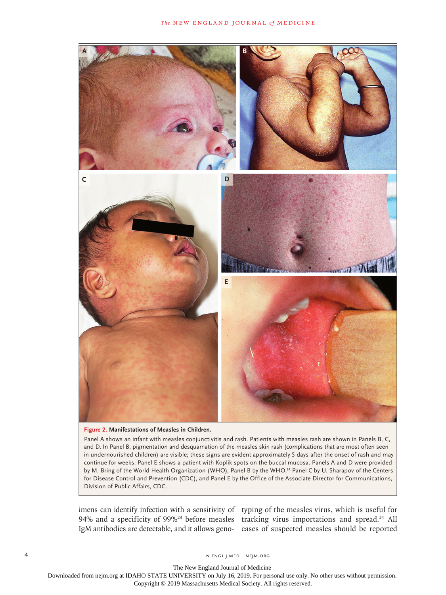

**Figure 2. Manifestations of Measles in Children.**

Panel A shows an infant with measles conjunctivitis and rash. Patients with measles rash are shown in Panels B, C, and D. In Panel B, pigmentation and desquamation of the measles skin rash (complications that are most often seen in undernourished children) are visible; these signs are evident approximately 5 days after the onset of rash and may continue for weeks. Panel E shows a patient with Koplik spots on the buccal mucosa. Panels A and D were provided by M. Bring of the World Health Organization (WHO), Panel B by the WHO,<sup>14</sup> Panel C by U. Sharapov of the Centers for Disease Control and Prevention (CDC), and Panel E by the Office of the Associate Director for Communications, Division of Public Affairs, CDC.

imens can identify infection with a sensitivity of typing of the measles virus, which is useful for 94% and a specificity of 99%<sup>23</sup> before measles tracking virus importations and spread.<sup>24</sup> All

IgM antibodies are detectable, and it allows geno-cases of suspected measles should be reported

The New England Journal of Medicine

Downloaded from nejm.org at IDAHO STATE UNIVERSITY on July 16, 2019. For personal use only. No other uses without permission.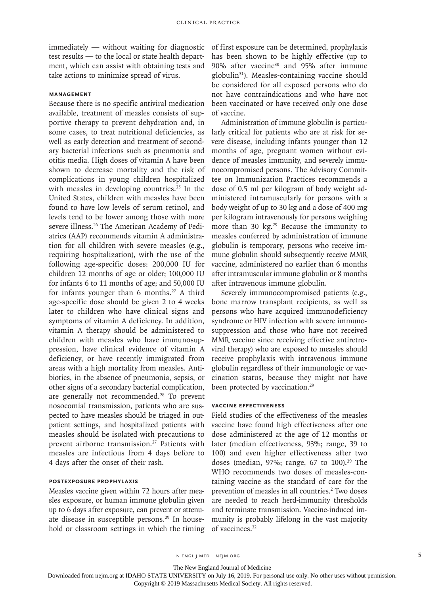immediately — without waiting for diagnostic test results — to the local or state health department, which can assist with obtaining tests and take actions to minimize spread of virus.

### **Management**

Because there is no specific antiviral medication available, treatment of measles consists of supportive therapy to prevent dehydration and, in some cases, to treat nutritional deficiencies, as well as early detection and treatment of secondary bacterial infections such as pneumonia and otitis media. High doses of vitamin A have been shown to decrease mortality and the risk of complications in young children hospitalized with measles in developing countries.<sup>25</sup> In the United States, children with measles have been found to have low levels of serum retinol, and levels tend to be lower among those with more severe illness.26 The American Academy of Pediatrics (AAP) recommends vitamin A administration for all children with severe measles (e.g., requiring hospitalization), with the use of the following age-specific doses: 200,000 IU for children 12 months of age or older; 100,000 IU for infants 6 to 11 months of age; and 50,000 IU for infants younger than 6 months.<sup>27</sup> A third age-specific dose should be given 2 to 4 weeks later to children who have clinical signs and symptoms of vitamin A deficiency. In addition, vitamin A therapy should be administered to children with measles who have immunosuppression, have clinical evidence of vitamin A deficiency, or have recently immigrated from areas with a high mortality from measles. Antibiotics, in the absence of pneumonia, sepsis, or other signs of a secondary bacterial complication, are generally not recommended.<sup>28</sup> To prevent nosocomial transmission, patients who are suspected to have measles should be triaged in outpatient settings, and hospitalized patients with measles should be isolated with precautions to prevent airborne transmission.<sup>27</sup> Patients with measles are infectious from 4 days before to 4 days after the onset of their rash.

#### **Postexposure Prophylaxis**

Measles vaccine given within 72 hours after measles exposure, or human immune globulin given up to 6 days after exposure, can prevent or attenuate disease in susceptible persons.<sup>29</sup> In household or classroom settings in which the timing

of first exposure can be determined, prophylaxis has been shown to be highly effective (up to 90% after vaccine30 and 95% after immune globulin31). Measles-containing vaccine should be considered for all exposed persons who do not have contraindications and who have not been vaccinated or have received only one dose of vaccine.

Administration of immune globulin is particularly critical for patients who are at risk for severe disease, including infants younger than 12 months of age, pregnant women without evidence of measles immunity, and severely immunocompromised persons. The Advisory Committee on Immunization Practices recommends a dose of 0.5 ml per kilogram of body weight administered intramuscularly for persons with a body weight of up to 30 kg and a dose of 400 mg per kilogram intravenously for persons weighing more than 30 kg.<sup>29</sup> Because the immunity to measles conferred by administration of immune globulin is temporary, persons who receive immune globulin should subsequently receive MMR vaccine, administered no earlier than 6 months after intramuscular immune globulin or 8 months after intravenous immune globulin.

Severely immunocompromised patients (e.g., bone marrow transplant recipients, as well as persons who have acquired immunodeficiency syndrome or HIV infection with severe immunosuppression and those who have not received MMR vaccine since receiving effective antiretroviral therapy) who are exposed to measles should receive prophylaxis with intravenous immune globulin regardless of their immunologic or vaccination status, because they might not have been protected by vaccination.<sup>29</sup>

#### **Vaccine Effectiveness**

Field studies of the effectiveness of the measles vaccine have found high effectiveness after one dose administered at the age of 12 months or later (median effectiveness, 93%; range, 39 to 100) and even higher effectiveness after two doses (median,  $97\%$ ; range, 67 to 100).<sup>29</sup> The WHO recommends two doses of measles-containing vaccine as the standard of care for the prevention of measles in all countries.<sup>2</sup> Two doses are needed to reach herd-immunity thresholds and terminate transmission. Vaccine-induced immunity is probably lifelong in the vast majority of vaccinees.<sup>32</sup>

n engl j med nejm.org 5

The New England Journal of Medicine

Downloaded from nejm.org at IDAHO STATE UNIVERSITY on July 16, 2019. For personal use only. No other uses without permission.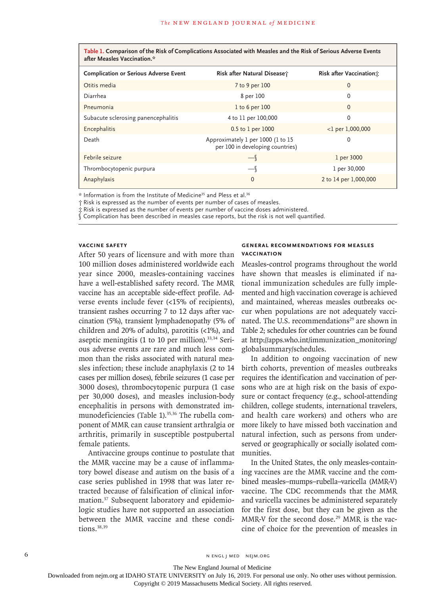**Table 1. Comparison of the Risk of Complications Associated with Measles and the Risk of Serious Adverse Events after Measles Vaccination.\***

| <b>Complication or Serious Adverse Event</b> | Risk after Natural Disease;                                           | Risk after Vaccination: |
|----------------------------------------------|-----------------------------------------------------------------------|-------------------------|
| Otitis media                                 | 7 to 9 per 100                                                        | 0                       |
| Diarrhea                                     | 8 per 100                                                             | 0                       |
| Pneumonia                                    | $1$ to 6 per 100                                                      | 0                       |
| Subacute sclerosing panencephalitis          | 4 to 11 per 100,000                                                   | 0                       |
| Encephalitis                                 | 0.5 to 1 per 1000                                                     | $<$ 1 per 1,000,000     |
| Death                                        | Approximately 1 per 1000 (1 to 15<br>per 100 in developing countries) | 0                       |
| Febrile seizure                              | $-$                                                                   | 1 per 3000              |
| Thrombocytopenic purpura                     | $-$                                                                   | 1 per 30,000            |
| Anaphylaxis                                  | $\Omega$                                                              | 2 to 14 per 1,000,000   |

\* Information is from the Institute of Medicine35 and Pless et al.36

† Risk is expressed as the number of events per number of cases of measles.

‡ Risk is expressed as the number of events per number of vaccine doses administered.

§ Complication has been described in measles case reports, but the risk is not well quantified.

# **Vaccine Safety**

After 50 years of licensure and with more than 100 million doses administered worldwide each year since 2000, measles-containing vaccines have a well-established safety record. The MMR vaccine has an acceptable side-effect profile. Adverse events include fever (<15% of recipients), transient rashes occurring 7 to 12 days after vaccination (5%), transient lymphadenopathy (5% of children and 20% of adults), parotitis (<1%), and aseptic meningitis (1 to 10 per million).<sup>33,34</sup> Serious adverse events are rare and much less common than the risks associated with natural measles infection; these include anaphylaxis (2 to 14 cases per million doses), febrile seizures (1 case per 3000 doses), thrombocytopenic purpura (1 case per 30,000 doses), and measles inclusion-body encephalitis in persons with demonstrated immunodeficiencies (Table 1).<sup>35,36</sup> The rubella component of MMR can cause transient arthralgia or arthritis, primarily in susceptible postpubertal female patients.

Antivaccine groups continue to postulate that the MMR vaccine may be a cause of inflammatory bowel disease and autism on the basis of a case series published in 1998 that was later retracted because of falsification of clinical information.37 Subsequent laboratory and epidemiologic studies have not supported an association between the MMR vaccine and these conditions.38,39

#### **General Recommendations for Measles Vaccination**

Measles-control programs throughout the world have shown that measles is eliminated if national immunization schedules are fully implemented and high vaccination coverage is achieved and maintained, whereas measles outbreaks occur when populations are not adequately vaccinated. The U.S. recommendations<sup>29</sup> are shown in Table 2; schedules for other countries can be found at http://apps.who.int/immunization\_monitoring/ globalsummary/schedules.

In addition to ongoing vaccination of new birth cohorts, prevention of measles outbreaks requires the identification and vaccination of persons who are at high risk on the basis of exposure or contact frequency (e.g., school-attending children, college students, international travelers, and health care workers) and others who are more likely to have missed both vaccination and natural infection, such as persons from underserved or geographically or socially isolated communities.

In the United States, the only measles-containing vaccines are the MMR vaccine and the combined measles–mumps–rubella–varicella (MMR-V) vaccine. The CDC recommends that the MMR and varicella vaccines be administered separately for the first dose, but they can be given as the MMR-V for the second dose.<sup>29</sup> MMR is the vaccine of choice for the prevention of measles in

6 **n** engl j med nejm.org neighbors in the neutral media  $\frac{1}{2}$  media  $\frac{1}{2}$  media  $\frac{1}{2}$  media  $\frac{1}{2}$  media  $\frac{1}{2}$  media  $\frac{1}{2}$  media  $\frac{1}{2}$  media  $\frac{1}{2}$  media  $\frac{1}{2}$  media  $\frac{1}{2}$  media  $\frac{1$ 

The New England Journal of Medicine

Downloaded from nejm.org at IDAHO STATE UNIVERSITY on July 16, 2019. For personal use only. No other uses without permission.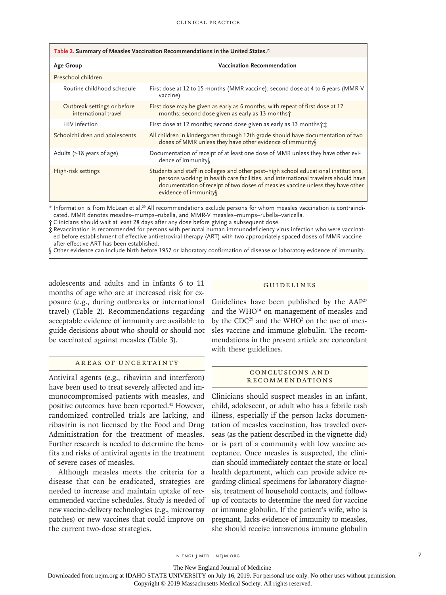| Table 2. Summary of Measles Vaccination Recommendations in the United States.* |                                                                                                                                                                                                                                                                                      |  |  |
|--------------------------------------------------------------------------------|--------------------------------------------------------------------------------------------------------------------------------------------------------------------------------------------------------------------------------------------------------------------------------------|--|--|
| <b>Age Group</b>                                                               | Vaccination Recommendation                                                                                                                                                                                                                                                           |  |  |
| Preschool children                                                             |                                                                                                                                                                                                                                                                                      |  |  |
| Routine childhood schedule                                                     | First dose at 12 to 15 months (MMR vaccine); second dose at 4 to 6 years (MMR-V<br>vaccine)                                                                                                                                                                                          |  |  |
| Outbreak settings or before<br>international travel                            | First dose may be given as early as 6 months, with repeat of first dose at 12<br>months; second dose given as early as 13 months;                                                                                                                                                    |  |  |
| HIV infection                                                                  | First dose at 12 months; second dose given as early as 13 months                                                                                                                                                                                                                     |  |  |
| Schoolchildren and adolescents                                                 | All children in kindergarten through 12th grade should have documentation of two<br>doses of MMR unless they have other evidence of immunity                                                                                                                                         |  |  |
| Adults ( $\geq$ 18 years of age)                                               | Documentation of receipt of at least one dose of MMR unless they have other evi-<br>dence of immunity                                                                                                                                                                                |  |  |
| High-risk settings                                                             | Students and staff in colleges and other post-high school educational institutions,<br>persons working in health care facilities, and international travelers should have<br>documentation of receipt of two doses of measles vaccine unless they have other<br>evidence of immunity |  |  |

\* Information is from McLean et al.29 All recommendations exclude persons for whom measles vaccination is contraindicated. MMR denotes measles–mumps–rubella, and MMR-V measles–mumps–rubella–varicella.

† Clinicians should wait at least 28 days after any dose before giving a subsequent dose.

‡ Revaccination is recommended for persons with perinatal human immunodeficiency virus infection who were vaccinated before establishment of effective antiretroviral therapy (ART) with two appropriately spaced doses of MMR vaccine after effective ART has been established.

§ Other evidence can include birth before 1957 or laboratory confirmation of disease or laboratory evidence of immunity.

adolescents and adults and in infants 6 to 11 months of age who are at increased risk for exposure (e.g., during outbreaks or international travel) (Table 2). Recommendations regarding acceptable evidence of immunity are available to guide decisions about who should or should not be vaccinated against measles (Table 3).

# Areas of Uncertainty

Antiviral agents (e.g., ribavirin and interferon) have been used to treat severely affected and immunocompromised patients with measles, and positive outcomes have been reported.<sup>41</sup> However, randomized controlled trials are lacking, and ribavirin is not licensed by the Food and Drug Administration for the treatment of measles. Further research is needed to determine the benefits and risks of antiviral agents in the treatment of severe cases of measles.

Although measles meets the criteria for a disease that can be eradicated, strategies are needed to increase and maintain uptake of recommended vaccine schedules. Study is needed of new vaccine-delivery technologies (e.g., microarray patches) or new vaccines that could improve on the current two-dose strategies.

#### Guidelines

Guidelines have been published by the AAP<sup>27</sup> and the WHO<sup>14</sup> on management of measles and by the CDC<sup>29</sup> and the WHO<sup>2</sup> on the use of measles vaccine and immune globulin. The recommendations in the present article are concordant with these guidelines.

#### Conclusions a nd **RECOMMENDATIONS**

Clinicians should suspect measles in an infant, child, adolescent, or adult who has a febrile rash illness, especially if the person lacks documentation of measles vaccination, has traveled overseas (as the patient described in the vignette did) or is part of a community with low vaccine acceptance. Once measles is suspected, the clinician should immediately contact the state or local health department, which can provide advice regarding clinical specimens for laboratory diagnosis, treatment of household contacts, and followup of contacts to determine the need for vaccine or immune globulin. If the patient's wife, who is pregnant, lacks evidence of immunity to measles, she should receive intravenous immune globulin

n engl j med nejm.org 7

The New England Journal of Medicine

Downloaded from nejm.org at IDAHO STATE UNIVERSITY on July 16, 2019. For personal use only. No other uses without permission.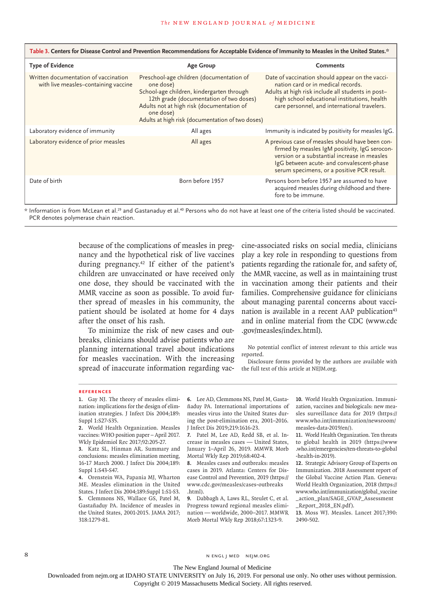| Table 3. Centers for Disease Control and Prevention Recommendations for Acceptable Evidence of Immunity to Measles in the United States.* |                                                                                                                                                                                                                                                             |                                                                                                                                                                                                                                               |  |
|-------------------------------------------------------------------------------------------------------------------------------------------|-------------------------------------------------------------------------------------------------------------------------------------------------------------------------------------------------------------------------------------------------------------|-----------------------------------------------------------------------------------------------------------------------------------------------------------------------------------------------------------------------------------------------|--|
| <b>Type of Evidence</b>                                                                                                                   | <b>Age Group</b>                                                                                                                                                                                                                                            | <b>Comments</b>                                                                                                                                                                                                                               |  |
| Written documentation of vaccination<br>with live measles-containing vaccine                                                              | Preschool-age children (documentation of<br>one dose)<br>School-age children, kindergarten through<br>12th grade (documentation of two doses)<br>Adults not at high risk (documentation of<br>one dose)<br>Adults at high risk (documentation of two doses) | Date of vaccination should appear on the vacci-<br>nation card or in medical records.<br>Adults at high risk include all students in post-<br>high school educational institutions, health<br>care personnel, and international travelers.    |  |
| Laboratory evidence of immunity                                                                                                           | All ages                                                                                                                                                                                                                                                    | Immunity is indicated by positivity for measles IgG.                                                                                                                                                                                          |  |
| Laboratory evidence of prior measles                                                                                                      | All ages                                                                                                                                                                                                                                                    | A previous case of measles should have been con-<br>firmed by measles IgM positivity, IgG serocon-<br>version or a substantial increase in measles<br>IgG between acute- and convalescent-phase<br>serum specimens, or a positive PCR result. |  |
| Date of birth                                                                                                                             | Born before 1957                                                                                                                                                                                                                                            | Persons born before 1957 are assumed to have<br>acquired measles during childhood and there-<br>fore to be immune.                                                                                                                            |  |

\* Information is from McLean et al.29 and Gastanaduy et al.40 Persons who do not have at least one of the criteria listed should be vaccinated. PCR denotes polymerase chain reaction.

> because of the complications of measles in pregnancy and the hypothetical risk of live vaccines during pregnancy.<sup>42</sup> If either of the patient's children are unvaccinated or have received only one dose, they should be vaccinated with the MMR vaccine as soon as possible. To avoid further spread of measles in his community, the patient should be isolated at home for 4 days after the onset of his rash.

> To minimize the risk of new cases and outbreaks, clinicians should advise patients who are planning international travel about indications for measles vaccination. With the increasing spread of inaccurate information regarding vac

cine-associated risks on social media, clinicians play a key role in responding to questions from patients regarding the rationale for, and safety of, the MMR vaccine, as well as in maintaining trust in vaccination among their patients and their families. Comprehensive guidance for clinicians about managing parental concerns about vaccination is available in a recent AAP publication<sup>43</sup> and in online material from the CDC (www.cdc .gov/measles/index.html).

No potential conflict of interest relevant to this article was reported.

Disclosure forms provided by the authors are available with the full text of this article at NEJM.org.

#### **References**

**6.** Lee AD, Clemmons NS, Patel M, Gastañaduy PA. International importations of measles virus into the United States during the post-elimination era, 2001–2016. J Infect Dis 2019;219:1616-23.

**7.** Patel M, Lee AD, Redd SB, et al. Increase in measles cases — United States, January 1–April 26, 2019. MMWR Morb Mortal Wkly Rep 2019;68:402-4.

**8.** Measles cases and outbreaks: measles cases in 2019. Atlanta: Centers for Disease Control and Prevention, 2019 (https:// www.cdc.gov/measles/cases-outbreaks .html).

**9.** Dabbagh A, Laws RL, Steulet C, et al. Progress toward regional measles elimination — worldwide, 2000–2017. MMWR Morb Mortal Wkly Rep 2018;67:1323-9.

**10.** World Health Organization. Immunization, vaccines and biologicals: new measles surveillance data for 2019 (https:// www.who.int/immunization/newsroom/ measles-data-2019/en/).

**11.** World Health Organization. Ten threats to global health in 2019 (https://www .who.int/emergencies/ten-threats-to-global -health-in-2019).

**12.** Strategic Advisory Group of Experts on Immunization. 2018 Assessment report of the Global Vaccine Action Plan. Geneva: World Health Organization, 2018 (https:// www.who.int/immunization/global\_vaccine \_action\_plan/SAGE\_GVAP\_Assessment \_Report\_2018\_EN.pdf).

**13.** Moss WJ. Measles. Lancet 2017;390: 2490-502.

8 N ENGL J MED NEJM.ORG

The New England Journal of Medicine

Downloaded from nejm.org at IDAHO STATE UNIVERSITY on July 16, 2019. For personal use only. No other uses without permission.

**<sup>1.</sup>** Gay NJ. The theory of measles elimination: implications for the design of elimination strategies. J Infect Dis 2004;189: Suppl 1:S27-S35.

**<sup>2.</sup>** World Health Organization. Measles vaccines: WHO position paper – April 2017. Wkly Epidemiol Rec 2017;92:205-27.

**<sup>3.</sup>** Katz SL, Hinman AR. Summary and conclusions: measles elimination meeting, 16-17 March 2000. J Infect Dis 2004;189: Suppl 1:S43-S47.

**<sup>4.</sup>** Orenstein WA, Papania MJ, Wharton ME. Measles elimination in the United States. J Infect Dis 2004;189:Suppl 1:S1-S3. **5.** Clemmons NS, Wallace GS, Patel M, Gastañaduy PA. Incidence of measles in the United States, 2001-2015. JAMA 2017; 318:1279-81.